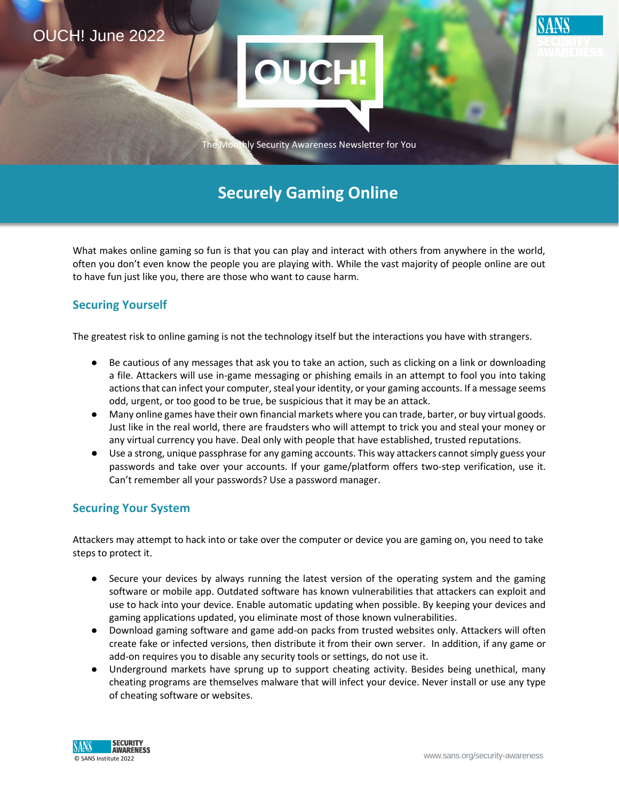

# **Securely Gaming Online**

What makes online gaming so fun is that you can play and interact with others from anywhere in the world, often you don't even know the people you are playing with. While the vast majority of people online are out to have fun just like you, there are those who want to cause harm.

## **Securing Yourself**

The greatest risk to online gaming is not the technology itself but the interactions you have with strangers.

- Be cautious of any messages that ask you to take an action, such as clicking on a link or downloading a file. Attackers will use in-game messaging or phishing emails in an attempt to fool you into taking actions that can infect your computer, steal your identity, or your gaming accounts. If a message seems odd, urgent, or too good to be true, be suspicious that it may be an attack.
- Many online games have their own financial markets where you can trade, barter, or buy virtual goods. Just like in the real world, there are fraudsters who will attempt to trick you and steal your money or any virtual currency you have. Deal only with people that have established, trusted reputations.
- Use a strong, unique passphrase for any gaming accounts. This way attackers cannot simply guess your passwords and take over your accounts. If your game/platform offers two-step verification, use it. Can't remember all your passwords? Use a password manager.

## **Securing Your System**

Attackers may attempt to hack into or take over the computer or device you are gaming on, you need to take steps to protect it.

- Secure your devices by always running the latest version of the operating system and the gaming software or mobile app. Outdated software has known vulnerabilities that attackers can exploit and use to hack into your device. Enable automatic updating when possible. By keeping your devices and gaming applications updated, you eliminate most of those known vulnerabilities.
- Download gaming software and game add-on packs from trusted websites only. Attackers will often create fake or infected versions, then distribute it from their own server. In addition, if any game or add-on requires you to disable any security tools or settings, do not use it.
- Underground markets have sprung up to support cheating activity. Besides being unethical, many cheating programs are themselves malware that will infect your device. Never install or use any type of cheating software or websites.